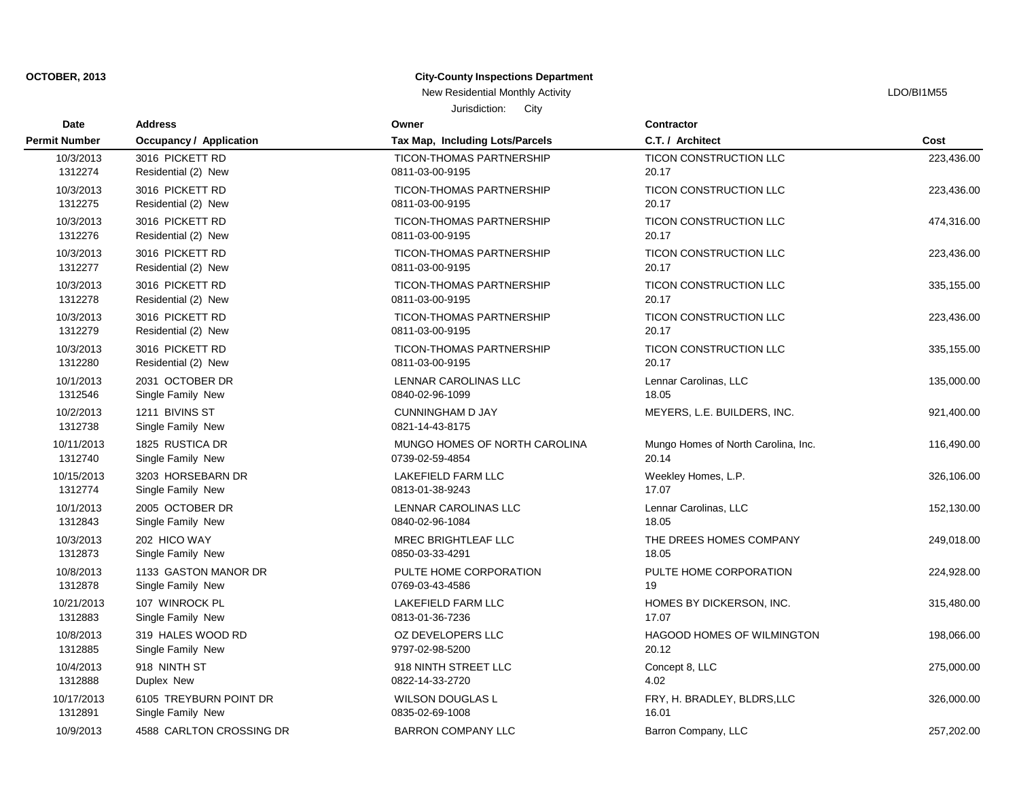#### **City-County Inspections Department**

New Residential Monthly Activity **LACTION** CONSULTER THE RESIDENT OF THE RESIDENT OF THE RESIDENT OF THE RESIDENT OF THE RESIDENT OF THE RESIDENT OF THE RESIDENT OF THE RESIDENT OF THE RESIDENT OF THE RESIDENT OF THE RESID

Jurisdiction: City

**Date Contractor** 1312891 Single Family New 0835-02-69-1008 16.01 10/9/2013 4588 CARLTON CROSSING DR BARRON COMPANY LLC Barron Company, LLC 257,202.00 1312888 Duplex New 0822-14-33-2720 4.02 10/17/2013 6105 TREYBURN POINT DR WILSON DOUGLAS L FRY, H. BRADLEY, BLDRS,LLC 326,000.00 1312885 Single Family New 9797-02-98-5200 20.12 10/4/2013 918 NINTH ST 918 NINTH STREET LLC Concept 8, LLC 275,000.00 1312883 Single Family New 0813-01-36-7236 17.07 10/8/2013 319 HALES WOOD RD OZ DEVELOPERS LLC HAGOOD HOMES OF WILMINGTON 198,066.00 1312878 Single Family New 0769-03-43-4586 19 10/21/2013 107 WINROCK PL LAKEFIELD FARM LLC HOMES BY DICKERSON, INC. 315,480.00 1312873 Single Family New 20050-03-33-4291 2012 18.05 10/8/2013 1133 GASTON MANOR DR PULTE HOME CORPORATION PULTE HOME CORPORATION 224,928.00 1312843 Single Family New 0840-02-96-1084 18.05 10/3/2013 202 HICO WAY MREC BRIGHTLEAF LLC THE DREES HOMES COMPANY 249,018.00 1312774 Single Family New 0813-01-38-9243 17.07 10/1/2013 2005 OCTOBER DR LENNAR CAROLINAS LLC Lennar Carolinas, LLC 152,130.00 1312740 Single Family New 0739-02-59-4854 20.14 10/15/2013 3203 HORSEBARN DR LAKEFIELD FARM LLC Weekley Homes, L.P. 326,106.00 1312738 Single Family New 0821-14-43-8175 10/11/2013 1825 RUSTICA DR MUNGO HOMES OF NORTH CAROLINA Mungo Homes of North Carolina, Inc. 116,490.00 1312546 Single Family New 0840-02-96-1099 18.05 10/2/2013 1211 BIVINS ST CUNNINGHAM D JAY MEYERS, L.E. BUILDERS, INC. 921,400.00 1312280 Residential (2) New 0811-03-00-9195 20.17 10/1/2013 2031 OCTOBER DR LENNAR CAROLINAS LLC Lennar Carolinas, LLC 135,000.00 1312279 Residential (2) New 0811-03-00-9195 20.17 10/3/2013 3016 PICKETT RD TICON-THOMAS PARTNERSHIP TICON CONSTRUCTION LLC 335,155.00 1312278 Residential (2) New 0811-03-00-9195 20.17 10/3/2013 3016 PICKETT RD TICON-THOMAS PARTNERSHIP TICON CONSTRUCTION LLC 223,436.00 1312277 Residential (2) New 0811-03-00-9195 20.17 10/3/2013 3016 PICKETT RD TICON-THOMAS PARTNERSHIP TICON CONSTRUCTION LLC 335,155.00 1312276 Residential (2) New 0811-03-00-9195 20.17 10/3/2013 3016 PICKETT RD TICON-THOMAS PARTNERSHIP TICON CONSTRUCTION LLC 223,436.00 1312275 Residential (2) New 0811-03-00-9195 20.17 10/3/2013 3016 PICKETT RD TICON-THOMAS PARTNERSHIP TICON CONSTRUCTION LLC 474,316.00 1312274 Residential (2) New 0811-03-00-9195 20.17 10/3/2013 3016 PICKETT RD TICON-THOMAS PARTNERSHIP TICON CONSTRUCTION LLC 223,436.00 **Cost** 10/3/2013 3016 PICKETT RD TICON-THOMAS PARTNERSHIP TICON CONSTRUCTION LLC 223,436.00 **Address Owner Permit Number Occupancy / Application Tax Map, Including Lots/Parcels C.T. / Architect**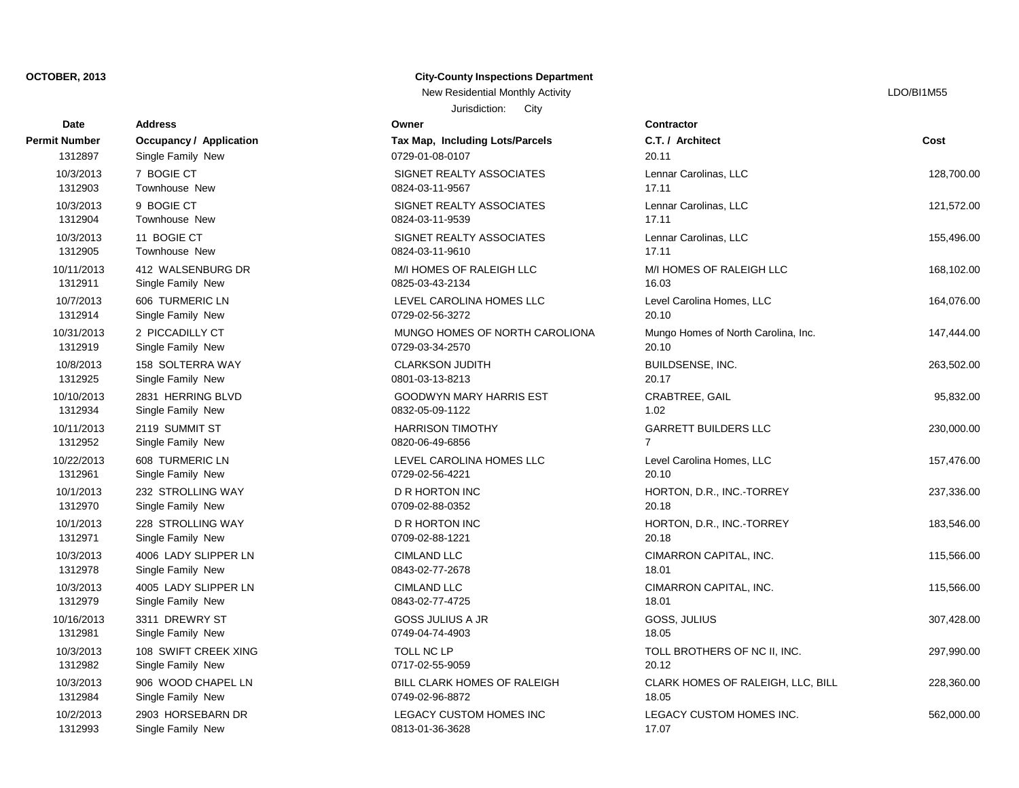| Date                 | <b>Address</b>                 | Owner                           | <b>Contractor</b>       |
|----------------------|--------------------------------|---------------------------------|-------------------------|
| <b>Permit Number</b> | <b>Occupancy / Application</b> | Tax Map, Including Lots/Parcels | C.T. / Architect        |
| 1312897              | Single Family New              | 0729-01-08-0107                 | 20.11                   |
| 10/3/2013            | 7 BOGIE CT                     | SIGNET REALTY ASSOCIATES        | Lennar Carolinas        |
| 1312903              | Townhouse New                  | 0824-03-11-9567                 | 17.11                   |
| 10/3/2013            | 9 BOGIE CT                     | SIGNET REALTY ASSOCIATES        | Lennar Carolinas        |
| 1312904              | Townhouse New                  | 0824-03-11-9539                 | 17.11                   |
| 10/3/2013            | 11 BOGIE CT                    | SIGNET REALTY ASSOCIATES        | <b>Lennar Carolinas</b> |
| 1312905              | Townhouse New                  | 0824-03-11-9610                 | 17.11                   |
| 10/11/2013           | 412 WALSENBURG DR              | M/I HOMES OF RALEIGH LLC        | M/I HOMES OF I          |
| 1312911              | Single Family New              | 0825-03-43-2134                 | 16.03                   |
| 10/7/2013            | 606 TURMERIC LN                | LEVEL CAROLINA HOMES LLC        | Level Carolina H        |
| 1312914              | Single Family New              | 0729-02-56-3272                 | 20.10                   |
| 10/31/2013           | 2 PICCADILLY CT                | MUNGO HOMES OF NORTH CAROLIONA  | Mungo Homes of          |
| 1312919              | Single Family New              | 0729-03-34-2570                 | 20.10                   |
| 10/8/2013            | 158 SOLTERRA WAY               | <b>CLARKSON JUDITH</b>          | <b>BUILDSENSE, IN</b>   |
| 1312925              | Single Family New              | 0801-03-13-8213                 | 20.17                   |
| 10/10/2013           | 2831 HERRING BLVD              | GOODWYN MARY HARRIS EST         | CRABTREE, GA            |
| 1312934              | Single Family New              | 0832-05-09-1122                 | 1.02                    |
| 10/11/2013           | 2119 SUMMIT ST                 | <b>HARRISON TIMOTHY</b>         | <b>GARRETT BUILI</b>    |
| 1312952              | Single Family New              | 0820-06-49-6856                 | $\overline{7}$          |
| 10/22/2013           | 608 TURMERIC LN                | LEVEL CAROLINA HOMES LLC        | Level Carolina H        |
| 1312961              | Single Family New              | 0729-02-56-4221                 | 20.10                   |
| 10/1/2013            | 232 STROLLING WAY              | <b>D R HORTON INC</b>           | HORTON, D.R.,           |
| 1312970              | Single Family New              | 0709-02-88-0352                 | 20.18                   |
| 10/1/2013            | 228 STROLLING WAY              | <b>D R HORTON INC</b>           | HORTON, D.R.,           |
| 1312971              | Single Family New              | 0709-02-88-1221                 | 20.18                   |
| 10/3/2013            | 4006 LADY SLIPPER LN           | <b>CIMLAND LLC</b>              | <b>CIMARRON CAF</b>     |
| 1312978              | Single Family New              | 0843-02-77-2678                 | 18.01                   |
| 10/3/2013            | 4005 LADY SLIPPER LN           | <b>CIMLAND LLC</b>              | <b>CIMARRON CAF</b>     |
| 1312979              | Single Family New              | 0843-02-77-4725                 | 18.01                   |
| 10/16/2013           | 3311 DREWRY ST                 | <b>GOSS JULIUS A JR</b>         | GOSS, JULIUS            |
| 1312981              | Single Family New              | 0749-04-74-4903                 | 18.05                   |
| 10/3/2013            | 108 SWIFT CREEK XING           | <b>TOLL NC LP</b>               | <b>TOLL BROTHER</b>     |
| 1312982              | Single Family New              | 0717-02-55-9059                 | 20.12                   |
| 10/3/2013            | 906 WOOD CHAPEL LN             | BILL CLARK HOMES OF RALEIGH     | <b>CLARK HOMES</b>      |
| 1312984              | Single Family New              | 0749-02-96-8872                 | 18.05                   |
| 10/2/2013            | 2903 HORSEBARN DR              | <b>LEGACY CUSTOM HOMES INC</b>  | <b>LEGACY CUSTO</b>     |
| 1312993              | Single Family New              | 0813 01 36 3628                 | 17.07                   |

## **City-County Inspections Department**

Jurisdiction: City New Residential Monthly Activity Later and Activity LDO/BI1M55

**Cost** 10/2013 LEGACY CUSTOM HOMES INC LEGACY CUSTOM HOMES INC. The SECTION OF STATES AND REGACY CUSTOM HOMES INC. 10/328,360.00 BILL CLARK HOMES OF RALEIGH CLARK HOMES OF RALEIGH, LLC, BILL 228,360.00 10/3/2013 108 SWIFT CREEK XING TOLL NC LP TOLL BROTHERS OF NC II, INC. 297,990.00 10/16/2013 3311 DREWRY ST GOSS JULIUS A JR GOSS, JULIUS 307,428.00  $CIMLAND LLC$  CIMARRON CAPITAL, INC. 115,566.00  $CIMLAND LLC$   $CIMLAND LLC$   $CIMLAND$   $CIMLAND$   $115,566.00$ 10/10/2013 10/2013 22/13/2014 22/13/2013 22/13/2014 22:00 HORTON, D.R., INC.-TORREY 10/10/2013 10/10/2013 DR HORTON, D.R., INC.-TORREY 237,336.00 LEVEL CAROLINA HOMES LLC Level Carolina Homes, LLC 157,476.00 11/11/11/2013 10/11/2014 10/11/2013 10:48 SARRETT BUILDERS LLC 230.000.00 230.000.00 10/10/2013 2831 HERRING BLVD GOODWYN MARY HARRIS EST CRABTREE, GAIL 95,832.00 10/8/2013 158 SOLTERRA WAY CLARKSON JUDITH BUILDSENSE, INC. 263,502.00 MUNGO HOMES OF NORTH CAROLIONA Mungo Homes of North Carolina, Inc. 147,444.00 104.076.00 LEVEL CAROLINA HOMES LLC Level Carolina Homes, LLC 164,076.00 1000 M/I HOMES OF RALEIGH LLC AND M/I HOMES OF RALEIGH LLC 1999 M/I HOMES OF RALEIGH LLC 10.3/3/2013 11 SIGNET REALTY ASSOCIATES LEGAL CONTRACT CARDINAL LEGAL CONTRACT ASSOCIATES 121,572.00 SIGNET REALTY ASSOCIATES Lennar Carolinas, LLC 128,700.00 128,700.00 SIGNET REALTY ASSOCIATES LEGALE CHARGE CARDINAL LEGALE CHARGE CONSUMING LEGALE CHARGE CO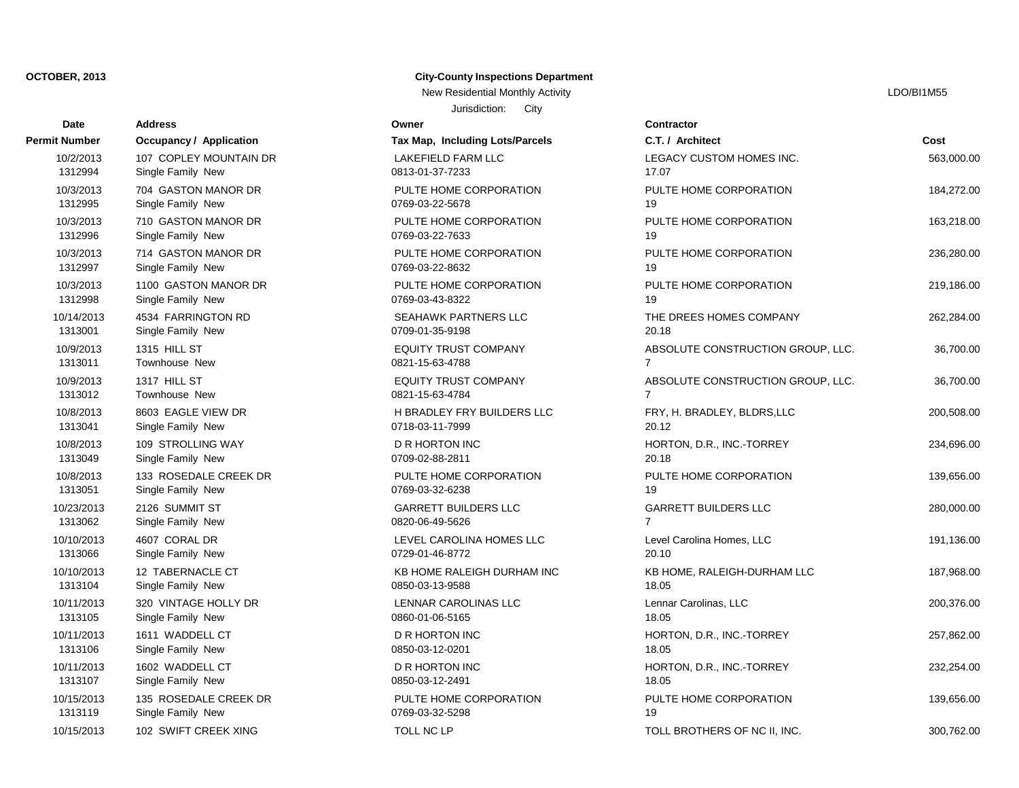| Date                 | <b>Address</b>                 | Owner                           | <b>Contractor</b>   |
|----------------------|--------------------------------|---------------------------------|---------------------|
| <b>Permit Number</b> | <b>Occupancy / Application</b> | Tax Map, Including Lots/Parcels | C.T. / Architect    |
| 10/2/2013            | 107 COPLEY MOUNTAIN DR         | LAKEFIELD FARM LLC              | <b>LEGACY CUST</b>  |
| 1312994              | Single Family New              | 0813-01-37-7233                 | 17.07               |
| 10/3/2013            | 704 GASTON MANOR DR            | PULTE HOME CORPORATION          | PULTE HOME C        |
| 1312995              | Single Family New              | 0769-03-22-5678                 | 19                  |
| 10/3/2013            | 710 GASTON MANOR DR            | PULTE HOME CORPORATION          | PULTE HOME C        |
| 1312996              | Single Family New              | 0769-03-22-7633                 | 19                  |
| 10/3/2013            | 714 GASTON MANOR DR            | PULTE HOME CORPORATION          | PULTE HOME C        |
| 1312997              | Single Family New              | 0769-03-22-8632                 | 19                  |
| 10/3/2013            | 1100 GASTON MANOR DR           | PULTE HOME CORPORATION          | PULTE HOME C        |
| 1312998              | Single Family New              | 0769-03-43-8322                 | 19                  |
| 10/14/2013           | 4534 FARRINGTON RD             | <b>SEAHAWK PARTNERS LLC</b>     | THE DREES HC        |
| 1313001              | Single Family New              | 0709-01-35-9198                 | 20.18               |
| 10/9/2013            | 1315 HILL ST                   | <b>EQUITY TRUST COMPANY</b>     | ABSOLUTE COI        |
| 1313011              | Townhouse New                  | 0821-15-63-4788                 | $\overline{7}$      |
| 10/9/2013            | 1317 HILL ST                   | <b>EQUITY TRUST COMPANY</b>     | ABSOLUTE COI        |
| 1313012              | Townhouse New                  | 0821-15-63-4784                 | $\overline{7}$      |
| 10/8/2013            | 8603 EAGLE VIEW DR             | H BRADLEY FRY BUILDERS LLC      | FRY, H. BRADLI      |
| 1313041              | Single Family New              | 0718-03-11-7999                 | 20.12               |
| 10/8/2013            | 109 STROLLING WAY              | D R HORTON INC                  | HORTON, D.R.,       |
| 1313049              | Single Family New              | 0709-02-88-2811                 | 20.18               |
| 10/8/2013            | 133 ROSEDALE CREEK DR          | PULTE HOME CORPORATION          | PULTE HOME C        |
| 1313051              | Single Family New              | 0769-03-32-6238                 | 19                  |
| 10/23/2013           | 2126 SUMMIT ST                 | <b>GARRETT BUILDERS LLC</b>     | <b>GARRETT BUIL</b> |
| 1313062              | Single Family New              | 0820-06-49-5626                 | $\overline{7}$      |
| 10/10/2013           | 4607 CORAL DR                  | LEVEL CAROLINA HOMES LLC        | Level Carolina H    |
| 1313066              | Single Family New              | 0729-01-46-8772                 | 20.10               |
| 10/10/2013           | 12 TABERNACLE CT               | KB HOME RALEIGH DURHAM INC      | KB HOME, RALI       |
| 1313104              | Single Family New              | 0850-03-13-9588                 | 18.05               |
| 10/11/2013           | 320 VINTAGE HOLLY DR           | LENNAR CAROLINAS LLC            | Lennar Carolinas    |
| 1313105              | Single Family New              | 0860-01-06-5165                 | 18.05               |
| 10/11/2013           | 1611 WADDELL CT                | D R HORTON INC                  | HORTON, D.R.,       |
| 1313106              | Single Family New              | 0850-03-12-0201                 | 18.05               |
| 10/11/2013           | 1602 WADDELL CT                | D R HORTON INC                  | HORTON, D.R.,       |
| 1313107              | Single Family New              | 0850-03-12-2491                 | 18.05               |
| 10/15/2013           | 135 ROSEDALE CREEK DR          | PULTE HOME CORPORATION          | PULTE HOME C        |
| 1313119              | Single Family New              | 0769-03-32-5298                 | 19                  |
| 10/15/2013           | 102 SWIFT CREEK XING           | <b>TOLL NC LP</b>               | <b>TOLL BROTHER</b> |

### **City-County Inspections Department**

Jurisdiction: City New Residential Monthly Activity **Little Structure Control Control Control Control Control Control Control Control Control Control Control Control Control Control Control Control Control Control Control Control Control Con** 

**Cost** 10/15/2013 102 SWIFT CREEK XING TOLL NC LP TOLL BROTHERS OF NC II, INC. 300,762.00 PULTE HOME CORPORATION **PULTE HOME CORPORATION** 139,656.00 10/11/2013 1608 1602 232,254.00 HORTON, D.R., INC.-TORREY 232,254.00 10/11/2013 16/11/2013 16/2014 16:30 16:30 HORTON, D.R., INC.-TORREY 257,862.00 10/11/2013 320 VINTAGE HOLLY DR LENNAR CAROLINAS LLC Lennar Carolinas, LLC 200,376.00 10/10/10/2013 12 TABERNACH CHE CHARLEIGH DURHAM INC KB HOME, RALEIGH-DURHAM LLC 10/10/2013 4607 CORAL DR LEVEL CAROLINA HOMES LLC Level Carolina Homes, LLC 191,136.00 10/23/2013 2126 SUMMIT ST GARRETT BUILDERS LLC GARRETT BUILDERS LLC 280,000.00 PULTE HOME CORPORATION PULTE HOME CORPORATION 139,656.00 10/8/2013 10/8/2014 109 DR HORTON D.R., INC.-TORREY 234,696.00 10/8/2003 H BRADLEY FRY BUILDERS LLC FRY, H. BRADLEY, BLDRS,LLC 200,508.00 10/9/2013 1317 HILL ST EQUITY TRUST COMPANY ABSOLUTE CONSTRUCTION GROUP, LLC. 36,700.00 10/9/2013 1315 HILL ST EQUITY TRUST COMPANY ABSOLUTE CONSTRUCTION GROUP, LLC. 36,700.00 10/14/2023 SEAHAWK PARTNERS LLC THE DREES HOMES COMPANY 262,284.00 PULTE HOME CORPORATION PULTE HOME CORPORATION 219,186.00 PULTE HOME CORPORATION PULTE HOME CORPORATION 236,280.00 PULTE HOME CORPORATION PULTE HOME CORPORATION 163,218.00 PULTE HOME CORPORATION PULTE HOME CORPORATION 184,272.00 LAKEFIELD FARM LLC LEGACY CUSTOM HOMES INC. 563,000.00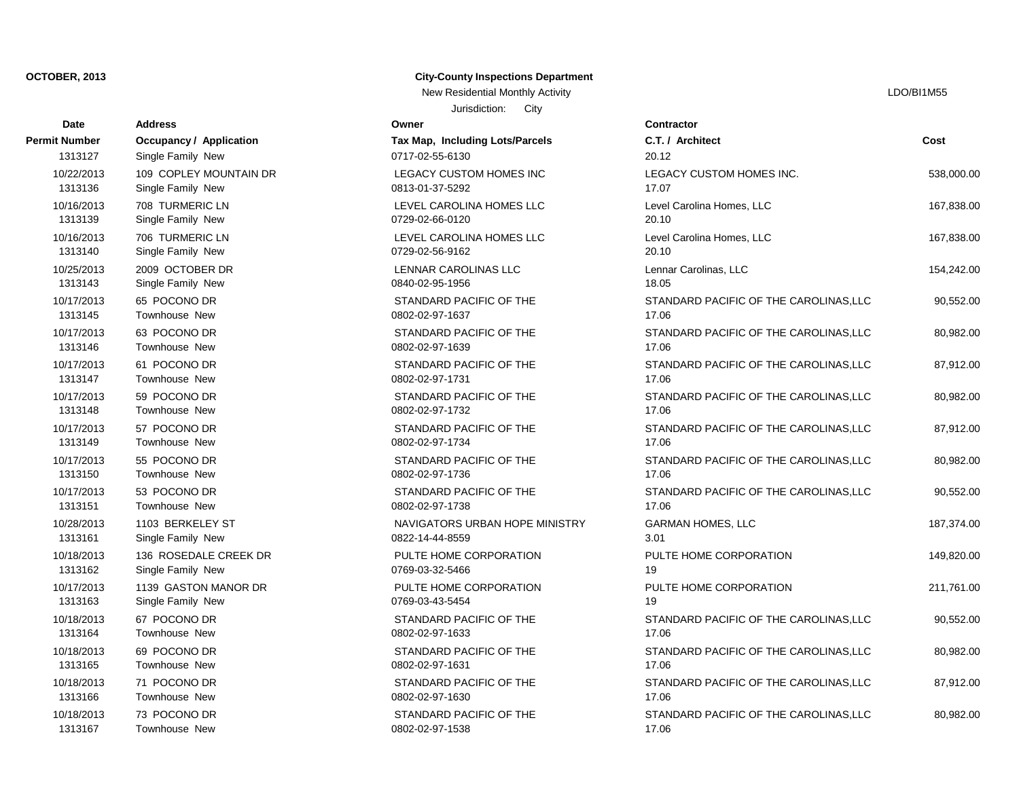| Date                 | <b>Address</b>                 | Owner                           | Contractor          |
|----------------------|--------------------------------|---------------------------------|---------------------|
| <b>Permit Number</b> | <b>Occupancy / Application</b> | Tax Map, Including Lots/Parcels | C.T. / Architect    |
| 1313127              | Single Family New              | 0717-02-55-6130                 | 20.12               |
| 10/22/2013           | 109 COPLEY MOUNTAIN DR         | LEGACY CUSTOM HOMES INC         | <b>LEGACY CUSTO</b> |
| 1313136              | Single Family New              | 0813-01-37-5292                 | 17.07               |
| 10/16/2013           | 708 TURMERIC LN                | LEVEL CAROLINA HOMES LLC        | Level Carolina H    |
| 1313139              | Single Family New              | 0729-02-66-0120                 | 20.10               |
| 10/16/2013           | 706 TURMERIC LN                | LEVEL CAROLINA HOMES LLC        | Level Carolina H    |
| 1313140              | Single Family New              | 0729-02-56-9162                 | 20.10               |
| 10/25/2013           | 2009 OCTOBER DR                | LENNAR CAROLINAS LLC            | Lennar Carolinas    |
| 1313143              | Single Family New              | 0840-02-95-1956                 | 18.05               |
| 10/17/2013           | 65 POCONO DR                   | STANDARD PACIFIC OF THE         | <b>STANDARD PAC</b> |
| 1313145              | Townhouse New                  | 0802-02-97-1637                 | 17.06               |
| 10/17/2013           | 63 POCONO DR                   | STANDARD PACIFIC OF THE         | <b>STANDARD PAG</b> |
| 1313146              | Townhouse New                  | 0802-02-97-1639                 | 17.06               |
| 10/17/2013           | 61 POCONO DR                   | STANDARD PACIFIC OF THE         | <b>STANDARD PAG</b> |
| 1313147              | Townhouse New                  | 0802-02-97-1731                 | 17.06               |
| 10/17/2013           | 59 POCONO DR                   | STANDARD PACIFIC OF THE         | <b>STANDARD PAG</b> |
| 1313148              | Townhouse New                  | 0802-02-97-1732                 | 17.06               |
| 10/17/2013           | 57 POCONO DR                   | STANDARD PACIFIC OF THE         | STANDARD PAO        |
| 1313149              | Townhouse New                  | 0802-02-97-1734                 | 17.06               |
| 10/17/2013           | 55 POCONO DR                   | STANDARD PACIFIC OF THE         | <b>STANDARD PAG</b> |
| 1313150              | Townhouse New                  | 0802-02-97-1736                 | 17.06               |
| 10/17/2013           | 53 POCONO DR                   | STANDARD PACIFIC OF THE         | <b>STANDARD PAG</b> |
| 1313151              | Townhouse New                  | 0802-02-97-1738                 | 17.06               |
| 10/28/2013           | 1103 BERKELEY ST               | NAVIGATORS URBAN HOPE MINISTRY  | <b>GARMAN HOME</b>  |
| 1313161              | Single Family New              | 0822-14-44-8559                 | 3.01                |
| 10/18/2013           | 136 ROSEDALE CREEK DR          | PULTE HOME CORPORATION          | PULTE HOME C        |
| 1313162              | Single Family New              | 0769-03-32-5466                 | 19                  |
| 10/17/2013           | 1139 GASTON MANOR DR           | PULTE HOME CORPORATION          | PULTE HOME C        |
| 1313163              | Single Family New              | 0769-03-43-5454                 | 19                  |
| 10/18/2013           | 67 POCONO DR                   | STANDARD PACIFIC OF THE         | <b>STANDARD PAO</b> |
| 1313164              | Townhouse New                  | 0802-02-97-1633                 | 17.06               |
| 10/18/2013           | 69 POCONO DR                   | STANDARD PACIFIC OF THE         | <b>STANDARD PAG</b> |
| 1313165              | Townhouse New                  | 0802-02-97-1631                 | 17.06               |
| 10/18/2013           | 71 POCONO DR                   | STANDARD PACIFIC OF THE         | <b>STANDARD PAG</b> |
| 1313166              | Townhouse New                  | 0802-02-97-1630                 | 17.06               |
| 10/18/2013           | 73 POCONO DR                   | STANDARD PACIFIC OF THE         | <b>STANDARD PAO</b> |
| 1313167              | Townhouse New                  | 0802-02-97-1538                 | 17.06               |

## **City-County Inspections Department**

Jurisdiction: City New Residential Monthly Activity Later and Activity LDO/BI1M55

**Cost** 10.982.00 STANDARD PACIFIC OF THE STANDARD PACIFIC OF THE CAROLINAS,LLC STANDARD PACIFIC OF THE STANDARD PACIFIC OF THE CAROLINAS, LLC 87,912.00 10,982.00 STANDARD PACIFIC OF THE STANDARD PACIFIC OF THE CAROLINAS, LLC 10,552.00 STANDARD PACIFIC OF THE STANDARD PACIFIC OF THE CAROLINAS, LLC PULTE HOME CORPORATION PULTE HOME CORPORATION 211,761.00 IN 149,820.00 PULTE HOME CORPORATION PULTE HOME CORPORATION 149,820.00 NAVIGATORS URBAN HOPE MINISTRY GARMAN HOMES, LLC 187,374.00 10,552.00 STANDARD PACIFIC OF THE STANDARD PACIFIC OF THE CAROLINAS, LLC 10.9382.00 STANDARD PACIFIC OF THE STANDARD PACIFIC OF THE CAROLINAS,LLC STANDARD PACIFIC OF THE STANDARD PACIFIC OF THE CAROLINAS.LLC 87,912.00 10/17/2013 59 POCONO DR STANDARD PACIFIC OF THE STANDARD PACIFIC OF THE CAROLINAS,LLC 80,982.00 STANDARD PACIFIC OF THE STANDARD PACIFIC OF THE CAROLINAS.LLC 87,912.00 10/17/2013 63 POCONO DR STANDARD PACIFIC OF THE STANDARD PACIFIC OF THE CAROLINAS,LLC 80,982.00 STANDARD PACIFIC OF THE STANDARD PACIFIC OF THE CAROLINAS,LLC 90.552.00 154,242.00 LENNAR CAROLINAS LLC Lennar Carolinas, LLC 10/16/2013 706 TURMERIC LN LEVEL CAROLINA HOMES LLC Level Carolina Homes, LLC 167,838.00 167,838.00 Level Carolina Homes, LLC Level Carolina Homes, LLC 167,838.00 10/22/2013 109 COPLEY MOUNTAIN DR LEGACY CUSTOM HOMES INC LEGACY CUSTOM HOMES INC. 538,000.00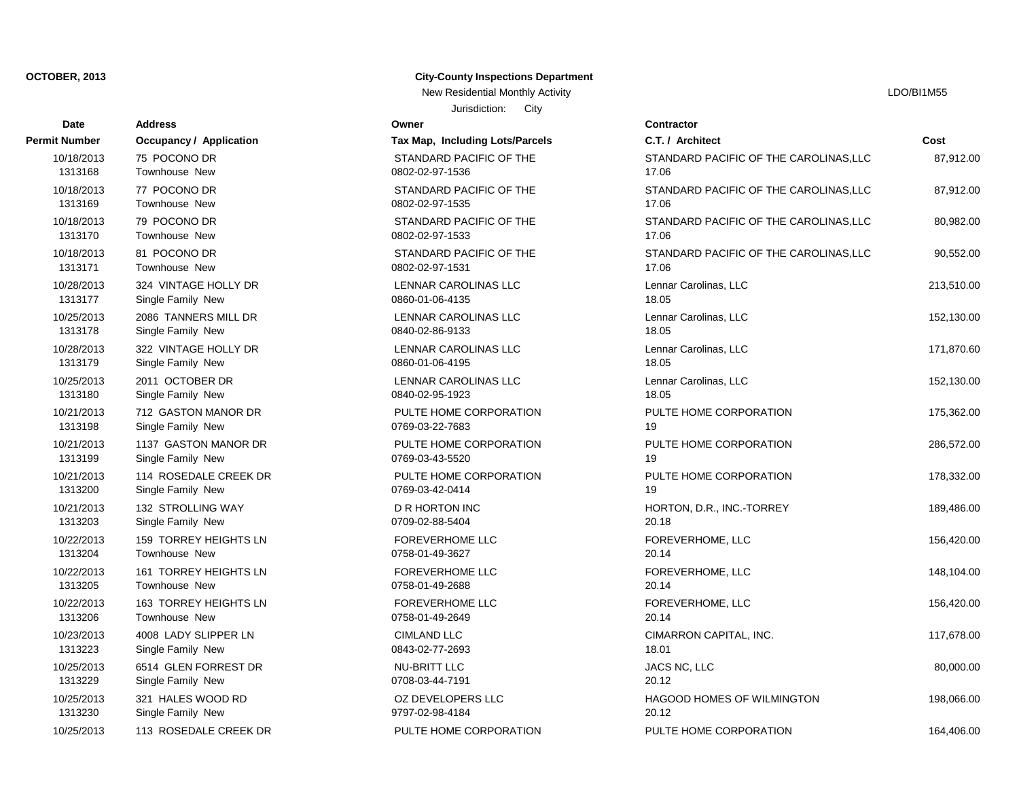| Date                 | <b>Address</b>          | Owner                           | Contractor      |
|----------------------|-------------------------|---------------------------------|-----------------|
| <b>Permit Number</b> | Occupancy / Application | Tax Map, Including Lots/Parcels | C.T. / Arch     |
| 10/18/2013           | 75 POCONO DR            | STANDARD PACIFIC OF THE         | <b>STANDARI</b> |
| 1313168              | Townhouse New           | 0802-02-97-1536                 | 17.06           |
| 10/18/2013           | 77 POCONO DR            | STANDARD PACIFIC OF THE         | <b>STANDARI</b> |
| 1313169              | Townhouse New           | 0802-02-97-1535                 | 17.06           |
| 10/18/2013           | 79 POCONO DR            | STANDARD PACIFIC OF THE         | <b>STANDARI</b> |
| 1313170              | Townhouse New           | 0802-02-97-1533                 | 17.06           |
| 10/18/2013           | 81 POCONO DR            | STANDARD PACIFIC OF THE         | STANDARI        |
| 1313171              | <b>Townhouse New</b>    | 0802-02-97-1531                 | 17.06           |
| 10/28/2013           | 324 VINTAGE HOLLY DR    | <b>LENNAR CAROLINAS LLC</b>     | Lennar Car      |
| 1313177              | Single Family New       | 0860-01-06-4135                 | 18.05           |
| 10/25/2013           | 2086 TANNERS MILL DR    | <b>LENNAR CAROLINAS LLC</b>     | Lennar Car      |
| 1313178              | Single Family New       | 0840-02-86-9133                 | 18.05           |
| 10/28/2013           | 322 VINTAGE HOLLY DR    | <b>LENNAR CAROLINAS LLC</b>     | Lennar Car      |
| 1313179              | Single Family New       | 0860-01-06-4195                 | 18.05           |
| 10/25/2013           | 2011 OCTOBER DR         | LENNAR CAROLINAS LLC            | Lennar Car      |
| 1313180              | Single Family New       | 0840-02-95-1923                 | 18.05           |
| 10/21/2013           | 712 GASTON MANOR DR     | PULTE HOME CORPORATION          | PULTE HO        |
| 1313198              | Single Family New       | 0769-03-22-7683                 | 19              |
| 10/21/2013           | 1137 GASTON MANOR DR    | PULTE HOME CORPORATION          | PULTE HO        |
| 1313199              | Single Family New       | 0769-03-43-5520                 | 19              |
| 10/21/2013           | 114 ROSEDALE CREEK DR   | PULTE HOME CORPORATION          | PULTE HO        |
| 1313200              | Single Family New       | 0769-03-42-0414                 | 19              |
| 10/21/2013           | 132 STROLLING WAY       | <b>D R HORTON INC</b>           | HORTON,         |
| 1313203              | Single Family New       | 0709-02-88-5404                 | 20.18           |
| 10/22/2013           | 159 TORREY HEIGHTS LN   | <b>FOREVERHOME LLC</b>          | <b>FOREVERI</b> |
| 1313204              | Townhouse New           | 0758-01-49-3627                 | 20.14           |
| 10/22/2013           | 161 TORREY HEIGHTS LN   | <b>FOREVERHOME LLC</b>          | <b>FOREVERI</b> |
| 1313205              | <b>Townhouse New</b>    | 0758-01-49-2688                 | 20.14           |
| 10/22/2013           | 163 TORREY HEIGHTS LN   | <b>FOREVERHOME LLC</b>          | <b>FOREVERI</b> |
| 1313206              | Townhouse New           | 0758-01-49-2649                 | 20.14           |
| 10/23/2013           | 4008 LADY SLIPPER LN    | <b>CIMLAND LLC</b>              | <b>CIMARRON</b> |
| 1313223              | Single Family New       | 0843-02-77-2693                 | 18.01           |
| 10/25/2013           | 6514 GLEN FORREST DR    | <b>NU-BRITT LLC</b>             | JACS NC, I      |
| 1313229              | Single Family New       | 0708-03-44-7191                 | 20.12           |
| 10/25/2013           | 321 HALES WOOD RD       | OZ DEVELOPERS LLC               | HAGOOD I        |
| 1313230              | Single Family New       | 9797-02-98-4184                 | 20.12           |
| 10/25/2013           | 113 ROSEDALE CREEK DR   | PULTE HOME CORPORATION          | PULTE HO        |

# **City-County Inspections Department**

Jurisdiction: City New Residential Monthly Activity **LACTION** CONSULTER THE RESIDENT OF THE RESIDENT OF THE RESIDENT OF THE RESIDENT OF THE RESIDENT OF THE RESIDENT OF THE RESIDENT OF THE RESIDENT OF THE RESIDENT OF THE RESIDENT OF THE RESID

# 9797-02-98-4184 PULTE HOME CORPORATION 0708-03-44-7191 0843-02-77-2693 0758-01-49-2649 0758-01-49-2688 0758-01-49-3627 FOREVERHOME LLC 0709-02-88-5404 FOREVERHOME LLC 0769-03-42-0414 0769-03-43-5520 PULTE HOME CORPORATION 0769-03-22-7683 PULTE HOME CORPORATION 0840-02-95-1923 PULTE HOME CORPORATION 0860-01-06-4195 LENNAR CAROLINAS LLC 0840-02-86-9133 LENNAR CAROLINAS LLC 0860-01-06-4135 **LENNAR CAROLINAS LLC** 0802-02-97-1531 **LENNAR CAROLINAS LLC** 0802-02-97-1533 STANDARD PACIFIC OF THE 0802-02-97-1535 STANDARD PACIFIC OF THE 0802-02-97-1536 STANDARD PACIFIC OF THE STANDARD PACIFIC OF THE

| Date       | <b>Address</b>                 | Jurisdiction:<br>City<br>Owner  | <b>Contractor</b>                      |            |
|------------|--------------------------------|---------------------------------|----------------------------------------|------------|
| it Number  | <b>Occupancy / Application</b> | Tax Map, Including Lots/Parcels | C.T. / Architect                       | Cost       |
| 10/18/2013 | 75 POCONO DR                   | STANDARD PACIFIC OF THE         | STANDARD PACIFIC OF THE CAROLINAS, LLC | 87,912.00  |
| 1313168    | Townhouse New                  | 0802-02-97-1536                 | 17.06                                  |            |
| 10/18/2013 | 77 POCONO DR                   | STANDARD PACIFIC OF THE         | STANDARD PACIFIC OF THE CAROLINAS, LLC | 87,912.00  |
| 1313169    | <b>Townhouse New</b>           | 0802-02-97-1535                 | 17.06                                  |            |
| 10/18/2013 | 79 POCONO DR                   | STANDARD PACIFIC OF THE         | STANDARD PACIFIC OF THE CAROLINAS, LLC | 80,982.00  |
| 1313170    | <b>Townhouse New</b>           | 0802-02-97-1533                 | 17.06                                  |            |
| 10/18/2013 | 81 POCONO DR                   | STANDARD PACIFIC OF THE         | STANDARD PACIFIC OF THE CAROLINAS, LLC | 90,552.00  |
| 1313171    | Townhouse New                  | 0802-02-97-1531                 | 17.06                                  |            |
| 10/28/2013 | 324 VINTAGE HOLLY DR           | LENNAR CAROLINAS LLC            | Lennar Carolinas, LLC                  | 213,510.00 |
| 1313177    | Single Family New              | 0860-01-06-4135                 | 18.05                                  |            |
| 10/25/2013 | 2086 TANNERS MILL DR           | LENNAR CAROLINAS LLC            | Lennar Carolinas, LLC                  | 152,130.00 |
| 1313178    | Single Family New              | 0840-02-86-9133                 | 18.05                                  |            |
| 10/28/2013 | 322 VINTAGE HOLLY DR           | LENNAR CAROLINAS LLC            | Lennar Carolinas, LLC                  | 171,870.60 |
| 1313179    | Single Family New              | 0860-01-06-4195                 | 18.05                                  |            |
| 10/25/2013 | 2011 OCTOBER DR                | LENNAR CAROLINAS LLC            | Lennar Carolinas, LLC                  | 152,130.00 |
| 1313180    | Single Family New              | 0840-02-95-1923                 | 18.05                                  |            |
| 10/21/2013 | 712 GASTON MANOR DR            | PULTE HOME CORPORATION          | PULTE HOME CORPORATION                 | 175,362.00 |
| 1313198    | Single Family New              | 0769-03-22-7683                 | 19                                     |            |
| 10/21/2013 | 1137 GASTON MANOR DR           | PULTE HOME CORPORATION          | PULTE HOME CORPORATION                 | 286,572.00 |
| 1313199    | Single Family New              | 0769-03-43-5520                 | 19                                     |            |
| 10/21/2013 | 114 ROSEDALE CREEK DR          | PULTE HOME CORPORATION          | PULTE HOME CORPORATION                 | 178,332.00 |
| 1313200    | Single Family New              | 0769-03-42-0414                 | 19                                     |            |
| 10/21/2013 | 132 STROLLING WAY              | <b>D R HORTON INC</b>           | HORTON, D.R., INC.-TORREY              | 189,486.00 |
| 1313203    | Single Family New              | 0709-02-88-5404                 | 20.18                                  |            |
| 10/22/2013 | 159 TORREY HEIGHTS LN          | <b>FOREVERHOME LLC</b>          | FOREVERHOME, LLC                       | 156,420.00 |
| 1313204    | <b>Townhouse New</b>           | 0758-01-49-3627                 | 20.14                                  |            |
| 10/22/2013 | 161 TORREY HEIGHTS LN          | <b>FOREVERHOME LLC</b>          | FOREVERHOME, LLC                       | 148,104.00 |
| 1313205    | Townhouse New                  | 0758-01-49-2688                 | 20.14                                  |            |
| 10/22/2013 | 163 TORREY HEIGHTS LN          | <b>FOREVERHOME LLC</b>          | FOREVERHOME, LLC                       | 156,420.00 |
| 1313206    | <b>Townhouse New</b>           | 0758-01-49-2649                 | 20.14                                  |            |
| 10/23/2013 | 4008 LADY SLIPPER LN           | <b>CIMLAND LLC</b>              | CIMARRON CAPITAL, INC.                 | 117,678.00 |
| 1313223    | Single Family New              | 0843-02-77-2693                 | 18.01                                  |            |
| 10/25/2013 | 6514 GLEN FORREST DR           | NU-BRITT LLC                    | JACS NC, LLC                           | 80,000.00  |
| 1313229    | Single Family New              | 0708-03-44-7191                 | 20.12                                  |            |
| 10/25/2013 | 321 HALES WOOD RD              | OZ DEVELOPERS LLC               | HAGOOD HOMES OF WILMINGTON             | 198,066.00 |
| 1313230    | Single Family New              | 9797-02-98-4184                 | 20.12                                  |            |
| 10/25/2013 | 113 ROSEDALE CREEK DR          | PULTE HOME CORPORATION          | PULTE HOME CORPORATION                 | 164,406.00 |